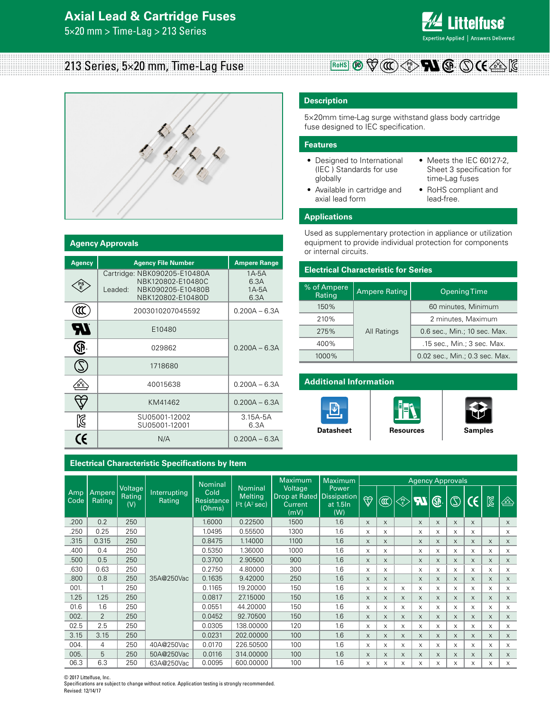# **Axial Lead & Cartridge Fuses**

5×20 mm > Time-Lag > 213 Series



# 213 Series, 5×20 mm, Time-Lag Fuse



#### **Agency Approvals**

| <b>Agency</b> | <b>Agency File Number</b>                                                                              | <b>Ampere Range</b>              |  |  |  |
|---------------|--------------------------------------------------------------------------------------------------------|----------------------------------|--|--|--|
|               | Cartridge: NBK090205-E10480A<br>NBK120802-E10480C<br>NBK090205-E10480B<br>Leaded:<br>NBK120802-E10480D | 1A-5A<br>6.3A<br>$1A-5A$<br>6.3A |  |  |  |
|               | 2003010207045592                                                                                       | $0.200A - 6.3A$                  |  |  |  |
| ЧV            | E10480                                                                                                 |                                  |  |  |  |
|               | 029862                                                                                                 | $0.200A - 6.3A$                  |  |  |  |
|               | 1718680                                                                                                |                                  |  |  |  |
|               | 40015638                                                                                               | $0.200A - 6.3A$                  |  |  |  |
|               | KM41462                                                                                                | $0.200A - 6.3A$                  |  |  |  |
| ß             | SU05001-12002<br>SU05001-12001                                                                         | $3.15A-5A$<br>6.3A               |  |  |  |
| $\epsilon$    | N/A                                                                                                    | $0.200A - 6.3A$                  |  |  |  |

#### **Electrical Characteristic Specifications by Item**

# **Description**

5×20mm time-Lag surge withstand glass body cartridge fuse designed to IEC specification.

#### **Features**

- Designed to International (IEC ) Standards for use globally
- Available in cartridge and axial lead form

 $\mathbb{R}$ oHS  $\mathbb{B}$   $\mathbb{V}(\mathbb{C})$   $\lt^{\mathbb{R}}$ 

- Meets the IEC 60127-2, Sheet 3 specification for time-Lag fuses
- RoHS compliant and lead-free.

### **Applications**

Used as supplementary protection in appliance or utilization equipment to provide individual protection for components or internal circuits.

#### **Electrical Characteristic for Series**

| % of Ampere<br>Rating | <b>Ampere Rating</b> | <b>Opening Time</b><br>60 minutes, Minimum<br>2 minutes, Maximum<br>0.6 sec., Min.; 10 sec. Max. |  |  |
|-----------------------|----------------------|--------------------------------------------------------------------------------------------------|--|--|
| 150%                  |                      |                                                                                                  |  |  |
| 210%                  |                      |                                                                                                  |  |  |
| 275%                  | All Ratings          |                                                                                                  |  |  |
| 400%                  |                      | .15 sec., Min.; 3 sec. Max.                                                                      |  |  |
| 1000%                 |                      | 0.02 sec., Min.; 0.3 sec. Max.                                                                   |  |  |

#### **Additional Information**







| Maximum<br><b>Maximum</b><br><b>Nominal</b> |                  |                                 |                               |                              | <b>Agency Approvals</b>                                     |                                                                    |                          |                    |          |                                           |           |          |                |          |              |          |
|---------------------------------------------|------------------|---------------------------------|-------------------------------|------------------------------|-------------------------------------------------------------|--------------------------------------------------------------------|--------------------------|--------------------|----------|-------------------------------------------|-----------|----------|----------------|----------|--------------|----------|
| Amp<br>Code                                 | Ampere<br>Rating | Voltage<br><b>Rating</b><br>(V) | Interrupting<br><b>Rating</b> | Cold<br>Resistance<br>(Ohms) | <b>Nominal</b><br><b>Melting</b><br>12t(A <sup>2</sup> sec) | Voltage<br>Drop at Rated   Dissipation  <br><b>Current</b><br>(mV) | Power<br>at 1.5In<br>(W) | $\bigtriangledown$ | Œ        | $\left\langle \frac{PS}{E} \right\rangle$ | <b>FI</b> | ®        | $\circledcirc$ | CE I     | $\mathbb{Z}$ | ⚠        |
| .200                                        | 0.2              | 250                             |                               | 1.6000                       | 0.22500                                                     | 1500                                                               | 1.6                      | X                  | X        |                                           | $\times$  | X        | $\times$       | X        |              | $\times$ |
| .250                                        | 0.25             | 250                             |                               | 1.0495                       | 0.55500                                                     | 1300                                                               | 1.6                      | X                  | X        |                                           | X         | X        | $\times$       | X        |              | X        |
| .315                                        | 0.315            | 250                             |                               | 0.8475                       | 1.14000                                                     | 1100                                                               | 1.6                      | X                  | X        |                                           | X         | $\times$ | $\times$       | X        | $\times$     | $\times$ |
| .400                                        | 0.4              | 250                             |                               | 0.5350                       | 1.36000                                                     | 1000                                                               | 1.6                      | X                  | X        |                                           | X         | X        | X              | X        | X            | X        |
| .500                                        | 0.5              | 250                             |                               | 0.3700                       | 2.90500                                                     | 900                                                                | 1.6                      | X                  | $\times$ |                                           | X         | $\times$ | $\times$       | $\times$ | $\times$     | $\times$ |
| .630                                        | 0.63             | 250                             |                               | 0.2750                       | 4.80000                                                     | 300                                                                | 1.6                      | X                  | X        |                                           | X         | X        | X              | X        | X            | $\times$ |
| .800                                        | 0.8              | 250                             | 35A@250Vac                    | 0.1635                       | 9.42000                                                     | 250                                                                | 1.6                      | X                  | $\times$ |                                           | $\times$  | $\times$ | $\times$       | $\times$ | $\times$     | $\times$ |
| 001.                                        | 1                | 250                             |                               | 0.1165                       | 19.20000                                                    | 150                                                                | 1.6                      | X                  | X        | X                                         | X         | X        | X              | X        | X            | X        |
| 1.25                                        | 1.25             | 250                             |                               | 0.0817                       | 27.15000                                                    | 150                                                                | 1.6                      | X                  | X        | X                                         | X         | $\times$ | $\times$       | $\times$ | $\times$     | X        |
| 01.6                                        | 1.6              | 250                             |                               | 0.0551                       | 44.20000                                                    | 150                                                                | 1.6                      | X                  | X        | X                                         | X         | X        | X              | X        | $\times$     | X        |
| 002.                                        | $\overline{2}$   | 250                             |                               | 0.0452                       | 92.70500                                                    | 150                                                                | 1.6                      | X                  | X        | X                                         | X         | X        | $\times$       | X        | $\times$     | $\times$ |
| 02.5                                        | 2.5              | 250                             |                               | 0.0305                       | 138.00000                                                   | 120                                                                | 1.6                      | X                  | X        | X                                         | X         | X        | X              | X        | X            | $\times$ |
| 3.15                                        | 3.15             | 250                             |                               | 0.0231                       | 202.00000                                                   | 100                                                                | 1.6                      | $\times$           | X        | X                                         | X         | $\times$ | $\times$       | $\times$ | $\times$     | $\times$ |
| 004.                                        | $\overline{4}$   | 250                             | 40A@250Vac                    | 0.0170                       | 226.50500                                                   | 100                                                                | 1.6                      | X                  | X        | X                                         | X         | X        | X              | X        | X            | $\times$ |
| 005.                                        | 5                | 250                             | 50A@250Vac                    | 0.0116                       | 314.00000                                                   | 100                                                                | 1.6                      | X                  | $\times$ | $\times$                                  | $\times$  | $\times$ | $\times$       | $\times$ | $\times$     | $\times$ |
| 06.3                                        | 6.3              | 250                             | 63A@250Vac                    | 0.0095                       | 600.00000                                                   | 100                                                                | 1.6                      | X                  | X        | X                                         | X         | X        | X              | X        | X            | X        |

© 2017 Littelfuse, Inc.

Specifications are subject to change without notice. Application testing is strongly recommended. Revised: 12/14/17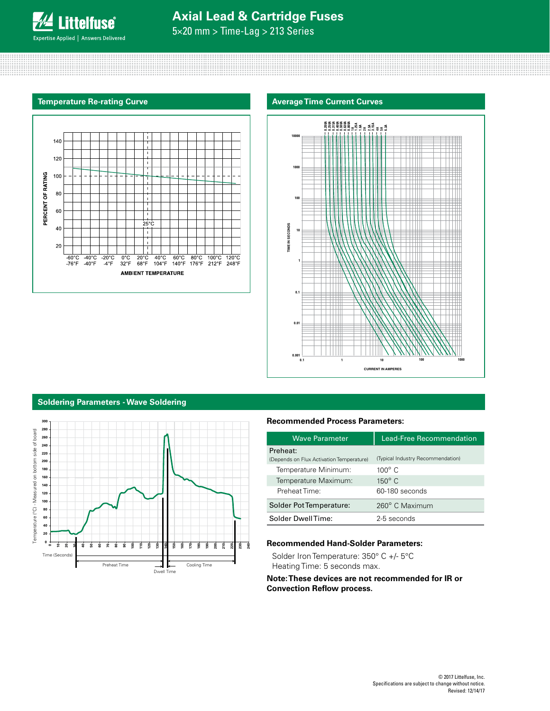

5×20 mm > Time-Lag > 213 Series

#### **Temperature Re-rating Curve**







### **Soldering Parameters - Wave Soldering**



## **Recommended Process Parameters:**

| Wave Parameter                                       | <b>Lead-Free Recommendation</b>   |
|------------------------------------------------------|-----------------------------------|
| Preheat:<br>(Depends on Flux Activation Temperature) | (Typical Industry Recommendation) |
| Temperature Minimum:                                 | $100^{\circ}$ C                   |
| Temperature Maximum:                                 | $150^\circ$ C                     |
| Preheat Time:                                        | 60-180 seconds                    |
| Solder Pot Temperature:                              | 260° C Maximum                    |
| Solder DwellTime:                                    | 2-5 seconds                       |

### **Recommended Hand-Solder Parameters:**

Solder Iron Temperature: 350° C +/- 5°C Heating Time: 5 seconds max.

### **Note: These devices are not recommended for IR or Convection Reflow process.**